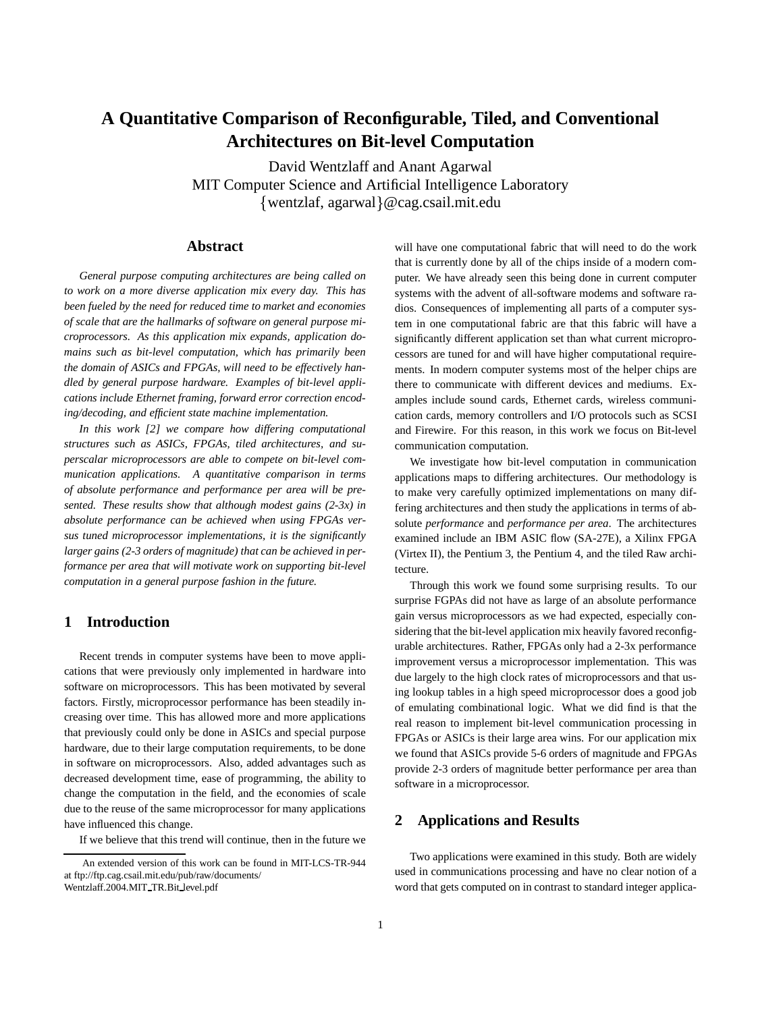# **A Quantitative Comparison of Reconfigurable, Tiled, and Conventional Architectures on Bit-level Computation**

David Wentzlaff and Anant Agarwal MIT Computer Science and Artificial Intelligence Laboratory {wentzlaf, agarwal}@cag.csail.mit.edu

## **Abstract**

*General purpose computing architectures are being called on to work on a more diverse application mix every day. This has been fueled by the need for reduced time to market and economies of scale that are the hallmarks of software on general purpose microprocessors. As this application mix expands, application domains such as bit-level computation, which has primarily been the domain of ASICs and FPGAs, will need to be effectively handled by general purpose hardware. Examples of bit-level applications include Ethernet framing, forward error correction encoding/decoding, and efficient state machine implementation.*

*In this work [2] we compare how differing computational structures such as ASICs, FPGAs, tiled architectures, and superscalar microprocessors are able to compete on bit-level communication applications. A quantitative comparison in terms of absolute performance and performance per area will be presented. These results show that although modest gains (2-3x) in absolute performance can be achieved when using FPGAs versus tuned microprocessor implementations, it is the significantly larger gains (2-3 orders of magnitude) that can be achieved in performance per area that will motivate work on supporting bit-level computation in a general purpose fashion in the future.*

## **1 Introduction**

Recent trends in computer systems have been to move applications that were previously only implemented in hardware into software on microprocessors. This has been motivated by several factors. Firstly, microprocessor performance has been steadily increasing over time. This has allowed more and more applications that previously could only be done in ASICs and special purpose hardware, due to their large computation requirements, to be done in software on microprocessors. Also, added advantages such as decreased development time, ease of programming, the ability to change the computation in the field, and the economies of scale due to the reuse of the same microprocessor for many applications have influenced this change.

If we believe that this trend will continue, then in the future we

will have one computational fabric that will need to do the work that is currently done by all of the chips inside of a modern computer. We have already seen this being done in current computer systems with the advent of all-software modems and software radios. Consequences of implementing all parts of a computer system in one computational fabric are that this fabric will have a significantly different application set than what current microprocessors are tuned for and will have higher computational requirements. In modern computer systems most of the helper chips are there to communicate with different devices and mediums. Examples include sound cards, Ethernet cards, wireless communication cards, memory controllers and I/O protocols such as SCSI and Firewire. For this reason, in this work we focus on Bit-level communication computation.

We investigate how bit-level computation in communication applications maps to differing architectures. Our methodology is to make very carefully optimized implementations on many differing architectures and then study the applications in terms of absolute *performance* and *performance per area*. The architectures examined include an IBM ASIC flow (SA-27E), a Xilinx FPGA (Virtex II), the Pentium 3, the Pentium 4, and the tiled Raw architecture.

Through this work we found some surprising results. To our surprise FGPAs did not have as large of an absolute performance gain versus microprocessors as we had expected, especially considering that the bit-level application mix heavily favored reconfigurable architectures. Rather, FPGAs only had a 2-3x performance improvement versus a microprocessor implementation. This was due largely to the high clock rates of microprocessors and that using lookup tables in a high speed microprocessor does a good job of emulating combinational logic. What we did find is that the real reason to implement bit-level communication processing in FPGAs or ASICs is their large area wins. For our application mix we found that ASICs provide 5-6 orders of magnitude and FPGAs provide 2-3 orders of magnitude better performance per area than software in a microprocessor.

## **2 Applications and Results**

Two applications were examined in this study. Both are widely used in communications processing and have no clear notion of a word that gets computed on in contrast to standard integer applica-

An extended version of this work can be found in MIT-LCS-TR-944 at ftp://ftp.cag.csail.mit.edu/pub/raw/documents/ Wentzlaff.2004.MIT TR.Bit level.pdf